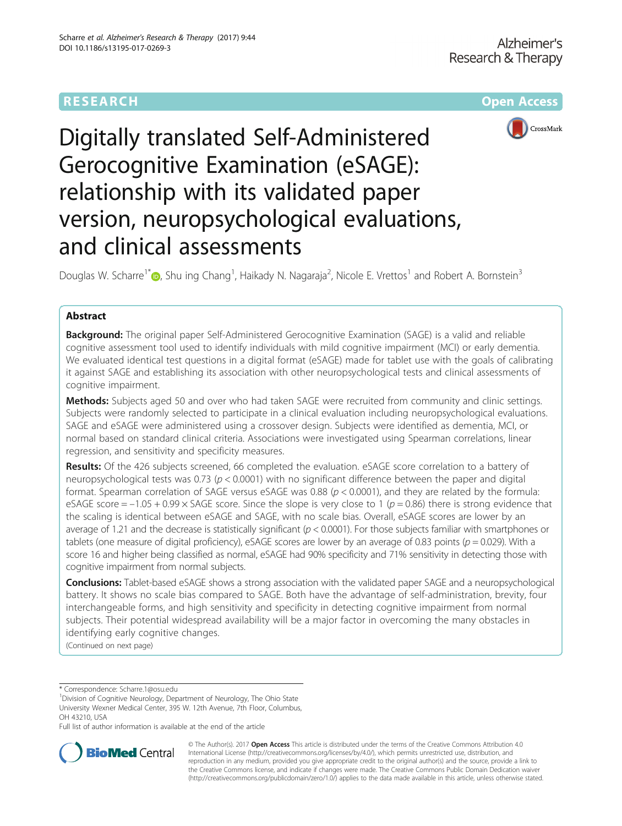# **RESEARCH CHEAR CHEAR CHEAR CHEAR CHEAR CHEAR CHEAR CHEAR CHEAR CHEAR CHEAR CHEAR CHEAR CHEAR CHEAR CHEAR CHEAR**



# Digitally translated Self-Administered Gerocognitive Examination (eSAGE): relationship with its validated paper version, neuropsychological evaluations, and clinical assessments

Douglas W. Scharre<sup>1\*</sup> (D)[,](http://orcid.org/0000-0001-8622-3923) Shu ing Chang<sup>1</sup>, Haikady N. Nagaraja<sup>2</sup>, Nicole E. Vrettos<sup>1</sup> and Robert A. Bornstein<sup>3</sup>

# Abstract

Background: The original paper Self-Administered Gerocognitive Examination (SAGE) is a valid and reliable cognitive assessment tool used to identify individuals with mild cognitive impairment (MCI) or early dementia. We evaluated identical test questions in a digital format (eSAGE) made for tablet use with the goals of calibrating it against SAGE and establishing its association with other neuropsychological tests and clinical assessments of cognitive impairment.

Methods: Subjects aged 50 and over who had taken SAGE were recruited from community and clinic settings. Subjects were randomly selected to participate in a clinical evaluation including neuropsychological evaluations. SAGE and eSAGE were administered using a crossover design. Subjects were identified as dementia, MCI, or normal based on standard clinical criteria. Associations were investigated using Spearman correlations, linear regression, and sensitivity and specificity measures.

Results: Of the 426 subjects screened, 66 completed the evaluation. eSAGE score correlation to a battery of neuropsychological tests was 0.73 ( $p < 0.0001$ ) with no significant difference between the paper and digital format. Spearman correlation of SAGE versus eSAGE was 0.88 ( $p < 0.0001$ ), and they are related by the formula: eSAGE score =  $-1.05 + 0.99 \times$  SAGE score. Since the slope is very close to 1 ( $p = 0.86$ ) there is strong evidence that the scaling is identical between eSAGE and SAGE, with no scale bias. Overall, eSAGE scores are lower by an average of 1.21 and the decrease is statistically significant ( $p < 0.0001$ ). For those subjects familiar with smartphones or tablets (one measure of digital proficiency), eSAGE scores are lower by an average of 0.83 points ( $p = 0.029$ ). With a score 16 and higher being classified as normal, eSAGE had 90% specificity and 71% sensitivity in detecting those with cognitive impairment from normal subjects.

Conclusions: Tablet-based eSAGE shows a strong association with the validated paper SAGE and a neuropsychological battery. It shows no scale bias compared to SAGE. Both have the advantage of self-administration, brevity, four interchangeable forms, and high sensitivity and specificity in detecting cognitive impairment from normal subjects. Their potential widespread availability will be a major factor in overcoming the many obstacles in identifying early cognitive changes.

(Continued on next page)

\* Correspondence: [Scharre.1@osu.edu](mailto:Scharre.1@osu.edu) <sup>1</sup>

<sup>1</sup> Division of Cognitive Neurology, Department of Neurology, The Ohio State University Wexner Medical Center, 395 W. 12th Avenue, 7th Floor, Columbus, OH 43210, USA

Full list of author information is available at the end of the article



© The Author(s). 2017 **Open Access** This article is distributed under the terms of the Creative Commons Attribution 4.0 International License [\(http://creativecommons.org/licenses/by/4.0/](http://creativecommons.org/licenses/by/4.0/)), which permits unrestricted use, distribution, and reproduction in any medium, provided you give appropriate credit to the original author(s) and the source, provide a link to the Creative Commons license, and indicate if changes were made. The Creative Commons Public Domain Dedication waiver [\(http://creativecommons.org/publicdomain/zero/1.0/](http://creativecommons.org/publicdomain/zero/1.0/)) applies to the data made available in this article, unless otherwise stated.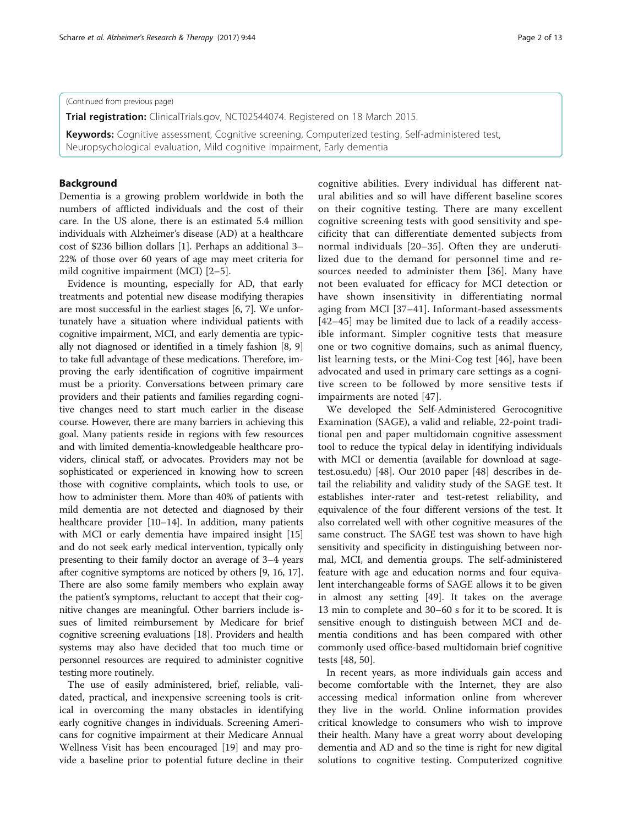# (Continued from previous page)

**Trial registration:** ClinicalTrials.gov, [NCT02544074](https://clinicaltrials.gov/ct2/show/NCT02544074?term=NCT02544074&rank=1). Registered on 18 March 2015.

Keywords: Cognitive assessment, Cognitive screening, Computerized testing, Self-administered test, Neuropsychological evaluation, Mild cognitive impairment, Early dementia

# Background

Dementia is a growing problem worldwide in both the numbers of afflicted individuals and the cost of their care. In the US alone, there is an estimated 5.4 million individuals with Alzheimer's disease (AD) at a healthcare cost of \$236 billion dollars [[1](#page-10-0)]. Perhaps an additional 3– 22% of those over 60 years of age may meet criteria for mild cognitive impairment (MCI) [\[2](#page-10-0)–[5\]](#page-10-0).

Evidence is mounting, especially for AD, that early treatments and potential new disease modifying therapies are most successful in the earliest stages [\[6](#page-10-0), [7](#page-10-0)]. We unfortunately have a situation where individual patients with cognitive impairment, MCI, and early dementia are typically not diagnosed or identified in a timely fashion [\[8, 9](#page-10-0)] to take full advantage of these medications. Therefore, improving the early identification of cognitive impairment must be a priority. Conversations between primary care providers and their patients and families regarding cognitive changes need to start much earlier in the disease course. However, there are many barriers in achieving this goal. Many patients reside in regions with few resources and with limited dementia-knowledgeable healthcare providers, clinical staff, or advocates. Providers may not be sophisticated or experienced in knowing how to screen those with cognitive complaints, which tools to use, or how to administer them. More than 40% of patients with mild dementia are not detected and diagnosed by their healthcare provider [\[10](#page-10-0)–[14](#page-10-0)]. In addition, many patients with MCI or early dementia have impaired insight [[15](#page-10-0)] and do not seek early medical intervention, typically only presenting to their family doctor an average of 3–4 years after cognitive symptoms are noticed by others [\[9](#page-10-0), [16, 17](#page-10-0)]. There are also some family members who explain away the patient's symptoms, reluctant to accept that their cognitive changes are meaningful. Other barriers include issues of limited reimbursement by Medicare for brief cognitive screening evaluations [[18](#page-10-0)]. Providers and health systems may also have decided that too much time or personnel resources are required to administer cognitive testing more routinely.

The use of easily administered, brief, reliable, validated, practical, and inexpensive screening tools is critical in overcoming the many obstacles in identifying early cognitive changes in individuals. Screening Americans for cognitive impairment at their Medicare Annual Wellness Visit has been encouraged [[19](#page-10-0)] and may provide a baseline prior to potential future decline in their cognitive abilities. Every individual has different natural abilities and so will have different baseline scores on their cognitive testing. There are many excellent cognitive screening tests with good sensitivity and specificity that can differentiate demented subjects from normal individuals [\[20](#page-10-0)–[35\]](#page-11-0). Often they are underutilized due to the demand for personnel time and resources needed to administer them [[36\]](#page-11-0). Many have not been evaluated for efficacy for MCI detection or have shown insensitivity in differentiating normal aging from MCI [[37](#page-11-0)–[41](#page-11-0)]. Informant-based assessments [[42](#page-11-0)–[45](#page-11-0)] may be limited due to lack of a readily access-

ible informant. Simpler cognitive tests that measure one or two cognitive domains, such as animal fluency, list learning tests, or the Mini-Cog test [[46\]](#page-11-0), have been advocated and used in primary care settings as a cognitive screen to be followed by more sensitive tests if impairments are noted [[47](#page-11-0)].

We developed the Self-Administered Gerocognitive Examination (SAGE), a valid and reliable, 22-point traditional pen and paper multidomain cognitive assessment tool to reduce the typical delay in identifying individuals with MCI or dementia (available for download at sagetest.osu.edu) [[48\]](#page-11-0). Our 2010 paper [[48](#page-11-0)] describes in detail the reliability and validity study of the SAGE test. It establishes inter-rater and test-retest reliability, and equivalence of the four different versions of the test. It also correlated well with other cognitive measures of the same construct. The SAGE test was shown to have high sensitivity and specificity in distinguishing between normal, MCI, and dementia groups. The self-administered feature with age and education norms and four equivalent interchangeable forms of SAGE allows it to be given in almost any setting [\[49](#page-11-0)]. It takes on the average 13 min to complete and 30–60 s for it to be scored. It is sensitive enough to distinguish between MCI and dementia conditions and has been compared with other commonly used office-based multidomain brief cognitive tests [\[48](#page-11-0), [50\]](#page-11-0).

In recent years, as more individuals gain access and become comfortable with the Internet, they are also accessing medical information online from wherever they live in the world. Online information provides critical knowledge to consumers who wish to improve their health. Many have a great worry about developing dementia and AD and so the time is right for new digital solutions to cognitive testing. Computerized cognitive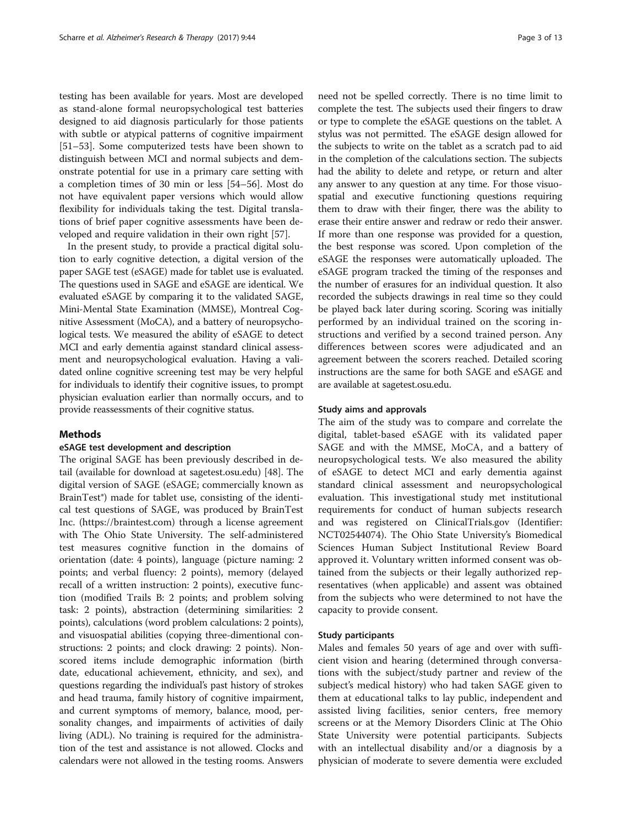testing has been available for years. Most are developed as stand-alone formal neuropsychological test batteries designed to aid diagnosis particularly for those patients with subtle or atypical patterns of cognitive impairment [[51](#page-11-0)–[53](#page-11-0)]. Some computerized tests have been shown to distinguish between MCI and normal subjects and demonstrate potential for use in a primary care setting with a completion times of 30 min or less [\[54](#page-11-0)–[56](#page-11-0)]. Most do not have equivalent paper versions which would allow flexibility for individuals taking the test. Digital translations of brief paper cognitive assessments have been developed and require validation in their own right [[57\]](#page-11-0).

In the present study, to provide a practical digital solution to early cognitive detection, a digital version of the paper SAGE test (eSAGE) made for tablet use is evaluated. The questions used in SAGE and eSAGE are identical. We evaluated eSAGE by comparing it to the validated SAGE, Mini-Mental State Examination (MMSE), Montreal Cognitive Assessment (MoCA), and a battery of neuropsychological tests. We measured the ability of eSAGE to detect MCI and early dementia against standard clinical assessment and neuropsychological evaluation. Having a validated online cognitive screening test may be very helpful for individuals to identify their cognitive issues, to prompt physician evaluation earlier than normally occurs, and to provide reassessments of their cognitive status.

# Methods

# eSAGE test development and description

The original SAGE has been previously described in detail (available for download at sagetest.osu.edu) [\[48](#page-11-0)]. The digital version of SAGE (eSAGE; commercially known as BrainTest®) made for tablet use, consisting of the identical test questions of SAGE, was produced by BrainTest Inc. ([https://braintest.com\)](https://braintest.com/) through a license agreement with The Ohio State University. The self-administered test measures cognitive function in the domains of orientation (date: 4 points), language (picture naming: 2 points; and verbal fluency: 2 points), memory (delayed recall of a written instruction: 2 points), executive function (modified Trails B: 2 points; and problem solving task: 2 points), abstraction (determining similarities: 2 points), calculations (word problem calculations: 2 points), and visuospatial abilities (copying three-dimentional constructions: 2 points; and clock drawing: 2 points). Nonscored items include demographic information (birth date, educational achievement, ethnicity, and sex), and questions regarding the individual's past history of strokes and head trauma, family history of cognitive impairment, and current symptoms of memory, balance, mood, personality changes, and impairments of activities of daily living (ADL). No training is required for the administration of the test and assistance is not allowed. Clocks and calendars were not allowed in the testing rooms. Answers need not be spelled correctly. There is no time limit to complete the test. The subjects used their fingers to draw or type to complete the eSAGE questions on the tablet. A stylus was not permitted. The eSAGE design allowed for the subjects to write on the tablet as a scratch pad to aid in the completion of the calculations section. The subjects had the ability to delete and retype, or return and alter any answer to any question at any time. For those visuospatial and executive functioning questions requiring them to draw with their finger, there was the ability to erase their entire answer and redraw or redo their answer. If more than one response was provided for a question, the best response was scored. Upon completion of the eSAGE the responses were automatically uploaded. The eSAGE program tracked the timing of the responses and the number of erasures for an individual question. It also recorded the subjects drawings in real time so they could be played back later during scoring. Scoring was initially performed by an individual trained on the scoring instructions and verified by a second trained person. Any differences between scores were adjudicated and an agreement between the scorers reached. Detailed scoring instructions are the same for both SAGE and eSAGE and are available at sagetest.osu.edu.

# Study aims and approvals

The aim of the study was to compare and correlate the digital, tablet-based eSAGE with its validated paper SAGE and with the MMSE, MoCA, and a battery of neuropsychological tests. We also measured the ability of eSAGE to detect MCI and early dementia against standard clinical assessment and neuropsychological evaluation. This investigational study met institutional requirements for conduct of human subjects research and was registered on ClinicalTrials.gov (Identifier: NCT02544074). The Ohio State University's Biomedical Sciences Human Subject Institutional Review Board approved it. Voluntary written informed consent was obtained from the subjects or their legally authorized representatives (when applicable) and assent was obtained from the subjects who were determined to not have the capacity to provide consent.

# Study participants

Males and females 50 years of age and over with sufficient vision and hearing (determined through conversations with the subject/study partner and review of the subject's medical history) who had taken SAGE given to them at educational talks to lay public, independent and assisted living facilities, senior centers, free memory screens or at the Memory Disorders Clinic at The Ohio State University were potential participants. Subjects with an intellectual disability and/or a diagnosis by a physician of moderate to severe dementia were excluded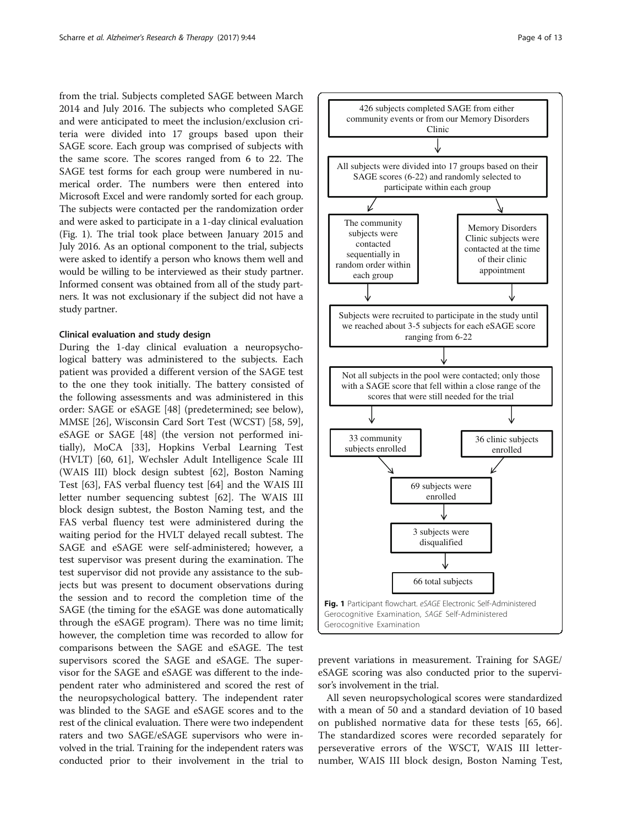<span id="page-3-0"></span>from the trial. Subjects completed SAGE between March 2014 and July 2016. The subjects who completed SAGE and were anticipated to meet the inclusion/exclusion criteria were divided into 17 groups based upon their SAGE score. Each group was comprised of subjects with the same score. The scores ranged from 6 to 22. The SAGE test forms for each group were numbered in numerical order. The numbers were then entered into Microsoft Excel and were randomly sorted for each group. The subjects were contacted per the randomization order and were asked to participate in a 1-day clinical evaluation (Fig. 1). The trial took place between January 2015 and July 2016. As an optional component to the trial, subjects were asked to identify a person who knows them well and would be willing to be interviewed as their study partner. Informed consent was obtained from all of the study partners. It was not exclusionary if the subject did not have a study partner.

# Clinical evaluation and study design

During the 1-day clinical evaluation a neuropsychological battery was administered to the subjects. Each patient was provided a different version of the SAGE test to the one they took initially. The battery consisted of the following assessments and was administered in this order: SAGE or eSAGE [\[48](#page-11-0)] (predetermined; see below), MMSE [[26](#page-10-0)], Wisconsin Card Sort Test (WCST) [\[58](#page-11-0), [59](#page-11-0)], eSAGE or SAGE [\[48\]](#page-11-0) (the version not performed initially), MoCA [[33\]](#page-11-0), Hopkins Verbal Learning Test (HVLT) [\[60](#page-11-0), [61\]](#page-11-0), Wechsler Adult Intelligence Scale III (WAIS III) block design subtest [[62\]](#page-11-0), Boston Naming Test [\[63\]](#page-11-0), FAS verbal fluency test [\[64](#page-11-0)] and the WAIS III letter number sequencing subtest [[62](#page-11-0)]. The WAIS III block design subtest, the Boston Naming test, and the FAS verbal fluency test were administered during the waiting period for the HVLT delayed recall subtest. The SAGE and eSAGE were self-administered; however, a test supervisor was present during the examination. The test supervisor did not provide any assistance to the subjects but was present to document observations during the session and to record the completion time of the SAGE (the timing for the eSAGE was done automatically through the eSAGE program). There was no time limit; however, the completion time was recorded to allow for comparisons between the SAGE and eSAGE. The test supervisors scored the SAGE and eSAGE. The supervisor for the SAGE and eSAGE was different to the independent rater who administered and scored the rest of the neuropsychological battery. The independent rater was blinded to the SAGE and eSAGE scores and to the rest of the clinical evaluation. There were two independent raters and two SAGE/eSAGE supervisors who were involved in the trial. Training for the independent raters was conducted prior to their involvement in the trial to



prevent variations in measurement. Training for SAGE/ eSAGE scoring was also conducted prior to the supervisor's involvement in the trial.

All seven neuropsychological scores were standardized with a mean of 50 and a standard deviation of 10 based on published normative data for these tests [[65, 66](#page-11-0)]. The standardized scores were recorded separately for perseverative errors of the WSCT, WAIS III letternumber, WAIS III block design, Boston Naming Test,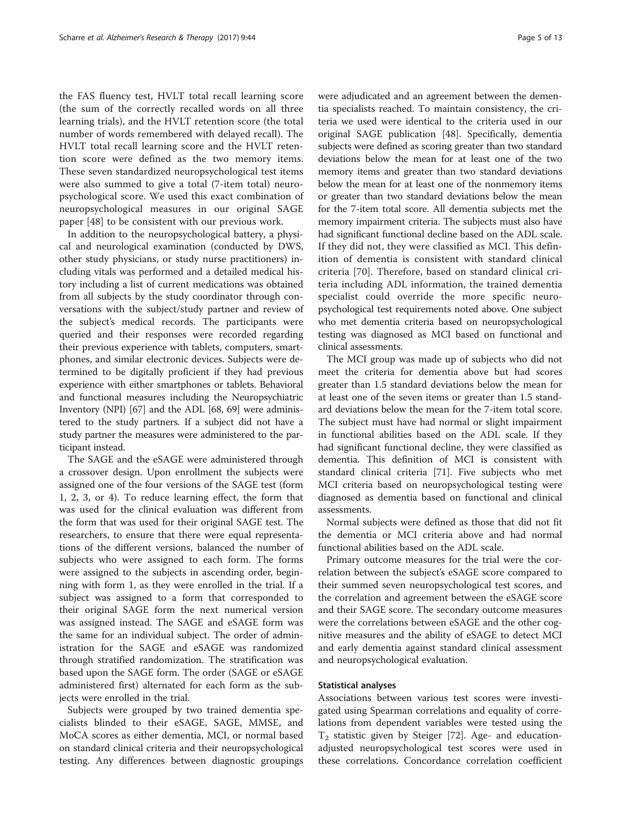the FAS fluency test, HVLT total recall learning score (the sum of the correctly recalled words on all three learning trials), and the HVLT retention score (the total number of words remembered with delayed recall). The HVLT total recall learning score and the HVLT retention score were defined as the two memory items. These seven standardized neuropsychological test items were also summed to give a total (7-item total) neuropsychological score. We used this exact combination of neuropsychological measures in our original SAGE paper [\[48](#page-11-0)] to be consistent with our previous work.

In addition to the neuropsychological battery, a physical and neurological examination (conducted by DWS, other study physicians, or study nurse practitioners) including vitals was performed and a detailed medical history including a list of current medications was obtained from all subjects by the study coordinator through conversations with the subject/study partner and review of the subject's medical records. The participants were queried and their responses were recorded regarding their previous experience with tablets, computers, smartphones, and similar electronic devices. Subjects were determined to be digitally proficient if they had previous experience with either smartphones or tablets. Behavioral and functional measures including the Neuropsychiatric Inventory (NPI) [[67\]](#page-11-0) and the ADL [\[68](#page-11-0), [69\]](#page-11-0) were administered to the study partners. If a subject did not have a study partner the measures were administered to the participant instead.

The SAGE and the eSAGE were administered through a crossover design. Upon enrollment the subjects were assigned one of the four versions of the SAGE test (form 1, 2, 3, or 4). To reduce learning effect, the form that was used for the clinical evaluation was different from the form that was used for their original SAGE test. The researchers, to ensure that there were equal representations of the different versions, balanced the number of subjects who were assigned to each form. The forms were assigned to the subjects in ascending order, beginning with form 1, as they were enrolled in the trial. If a subject was assigned to a form that corresponded to their original SAGE form the next numerical version was assigned instead. The SAGE and eSAGE form was the same for an individual subject. The order of administration for the SAGE and eSAGE was randomized through stratified randomization. The stratification was based upon the SAGE form. The order (SAGE or eSAGE administered first) alternated for each form as the subjects were enrolled in the trial.

Subjects were grouped by two trained dementia specialists blinded to their eSAGE, SAGE, MMSE, and MoCA scores as either dementia, MCI, or normal based on standard clinical criteria and their neuropsychological testing. Any differences between diagnostic groupings were adjudicated and an agreement between the dementia specialists reached. To maintain consistency, the criteria we used were identical to the criteria used in our original SAGE publication [[48](#page-11-0)]. Specifically, dementia subjects were defined as scoring greater than two standard deviations below the mean for at least one of the two memory items and greater than two standard deviations below the mean for at least one of the nonmemory items or greater than two standard deviations below the mean for the 7-item total score. All dementia subjects met the memory impairment criteria. The subjects must also have had significant functional decline based on the ADL scale. If they did not, they were classified as MCI. This definition of dementia is consistent with standard clinical criteria [[70\]](#page-11-0). Therefore, based on standard clinical criteria including ADL information, the trained dementia specialist could override the more specific neuropsychological test requirements noted above. One subject who met dementia criteria based on neuropsychological testing was diagnosed as MCI based on functional and clinical assessments.

The MCI group was made up of subjects who did not meet the criteria for dementia above but had scores greater than 1.5 standard deviations below the mean for at least one of the seven items or greater than 1.5 standard deviations below the mean for the 7-item total score. The subject must have had normal or slight impairment in functional abilities based on the ADL scale. If they had significant functional decline, they were classified as dementia. This definition of MCI is consistent with standard clinical criteria [\[71\]](#page-11-0). Five subjects who met MCI criteria based on neuropsychological testing were diagnosed as dementia based on functional and clinical assessments.

Normal subjects were defined as those that did not fit the dementia or MCI criteria above and had normal functional abilities based on the ADL scale.

Primary outcome measures for the trial were the correlation between the subject's eSAGE score compared to their summed seven neuropsychological test scores, and the correlation and agreement between the eSAGE score and their SAGE score. The secondary outcome measures were the correlations between eSAGE and the other cognitive measures and the ability of eSAGE to detect MCI and early dementia against standard clinical assessment and neuropsychological evaluation.

# Statistical analyses

Associations between various test scores were investigated using Spearman correlations and equality of correlations from dependent variables were tested using the  $T_2$  statistic given by Steiger [\[72](#page-11-0)]. Age- and educationadjusted neuropsychological test scores were used in these correlations. Concordance correlation coefficient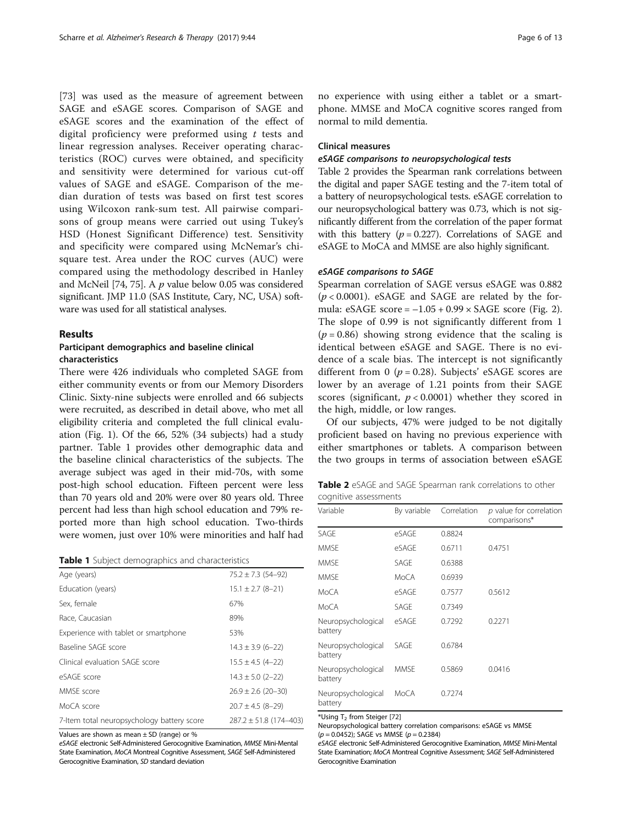[[73\]](#page-11-0) was used as the measure of agreement between SAGE and eSAGE scores. Comparison of SAGE and eSAGE scores and the examination of the effect of digital proficiency were preformed using  $t$  tests and linear regression analyses. Receiver operating characteristics (ROC) curves were obtained, and specificity and sensitivity were determined for various cut-off values of SAGE and eSAGE. Comparison of the median duration of tests was based on first test scores using Wilcoxon rank-sum test. All pairwise comparisons of group means were carried out using Tukey's HSD (Honest Significant Difference) test. Sensitivity and specificity were compared using McNemar's chisquare test. Area under the ROC curves (AUC) were compared using the methodology described in Hanley and McNeil [\[74,](#page-11-0) [75](#page-12-0)]. A  $p$  value below 0.05 was considered significant. JMP 11.0 (SAS Institute, Cary, NC, USA) software was used for all statistical analyses.

# Results

# Participant demographics and baseline clinical characteristics

There were 426 individuals who completed SAGE from either community events or from our Memory Disorders Clinic. Sixty-nine subjects were enrolled and 66 subjects were recruited, as described in detail above, who met all eligibility criteria and completed the full clinical evaluation (Fig. [1\)](#page-3-0). Of the 66, 52% (34 subjects) had a study partner. Table 1 provides other demographic data and the baseline clinical characteristics of the subjects. The average subject was aged in their mid-70s, with some post-high school education. Fifteen percent were less than 70 years old and 20% were over 80 years old. Three percent had less than high school education and 79% reported more than high school education. Two-thirds were women, just over 10% were minorities and half had

|  |  | Table 1 Subject demographics and characteristics |  |  |
|--|--|--------------------------------------------------|--|--|
|--|--|--------------------------------------------------|--|--|

| Age (years)                                | $75.2 \pm 7.3$ (54-92)     |
|--------------------------------------------|----------------------------|
| Education (years)                          | $15.1 \pm 2.7$ (8-21)      |
| Sex. female                                | 67%                        |
| Race, Caucasian                            | 89%                        |
| Experience with tablet or smartphone       | 53%                        |
| Baseline SAGE score                        | $14.3 \pm 3.9$ (6-22)      |
| Clinical evaluation SAGE score             | $15.5 \pm 4.5$ (4-22)      |
| eSAGE score                                | $14.3 \pm 5.0$ (2-22)      |
| MMSF score                                 | $26.9 \pm 2.6$ (20-30)     |
| MoCA score                                 | $20.7 \pm 4.5$ (8-29)      |
| 7-Item total neuropsychology battery score | $287.2 \pm 51.8$ (174-403) |

Values are shown as mean ± SD (range) or %

eSAGE electronic Self-Administered Gerocognitive Examination, MMSE Mini-Mental State Examination, MoCA Montreal Cognitive Assessment, SAGE Self-Administered Gerocognitive Examination, SD standard deviation

no experience with using either a tablet or a smartphone. MMSE and MoCA cognitive scores ranged from normal to mild dementia.

# Clinical measures

# eSAGE comparisons to neuropsychological tests

Table 2 provides the Spearman rank correlations between the digital and paper SAGE testing and the 7-item total of a battery of neuropsychological tests. eSAGE correlation to our neuropsychological battery was 0.73, which is not significantly different from the correlation of the paper format with this battery ( $p = 0.227$ ). Correlations of SAGE and eSAGE to MoCA and MMSE are also highly significant.

# eSAGE comparisons to SAGE

Spearman correlation of SAGE versus eSAGE was 0.882  $(p < 0.0001)$ . eSAGE and SAGE are related by the formula:  $eSAGE score = -1.05 + 0.99 \times SAGE score (Fig. 2).$  $eSAGE score = -1.05 + 0.99 \times SAGE score (Fig. 2).$  $eSAGE score = -1.05 + 0.99 \times SAGE score (Fig. 2).$ The slope of 0.99 is not significantly different from 1  $(p = 0.86)$  showing strong evidence that the scaling is identical between eSAGE and SAGE. There is no evidence of a scale bias. The intercept is not significantly different from 0 ( $p = 0.28$ ). Subjects' eSAGE scores are lower by an average of 1.21 points from their SAGE scores (significant,  $p < 0.0001$ ) whether they scored in the high, middle, or low ranges.

Of our subjects, 47% were judged to be not digitally proficient based on having no previous experience with either smartphones or tablets. A comparison between the two groups in terms of association between eSAGE

| Table 2 eSAGE and SAGE Spearman rank correlations to other |  |  |
|------------------------------------------------------------|--|--|
| cognitive assessments                                      |  |  |

| Variable                      | By variable | Correlation | $p$ value for correlation<br>comparisons* |
|-------------------------------|-------------|-------------|-------------------------------------------|
| SAGE                          | eSAGE       | 0.8824      |                                           |
| <b>MMSF</b>                   | eSAGE       | 0.6711      | 0.4751                                    |
| <b>MMSF</b>                   | SAGF        | 0.6388      |                                           |
| <b>MMSE</b>                   | MoCA        | 0.6939      |                                           |
| MoCA                          | eSAGE       | 0.7577      | 0.5612                                    |
| MoCA                          | SAGE        | 0.7349      |                                           |
| Neuropsychological<br>battery | eSAGE       | 0.7292      | 0.2271                                    |
| Neuropsychological<br>battery | SAGE        | 0.6784      |                                           |
| Neuropsychological<br>battery | <b>MMSF</b> | 0.5869      | 0.0416                                    |
| Neuropsychological<br>battery | MoCA        | 0.7274      |                                           |

\*Using T2 from Steiger [\[72](#page-11-0)]

Neuropsychological battery correlation comparisons: eSAGE vs MMSE  $(p = 0.0452)$ ; SAGE vs MMSE  $(p = 0.2384)$ 

eSAGE electronic Self-Administered Gerocognitive Examination, MMSE Mini-Mental State Examination; MoCA Montreal Cognitive Assessment; SAGE Self-Administered Gerocognitive Examination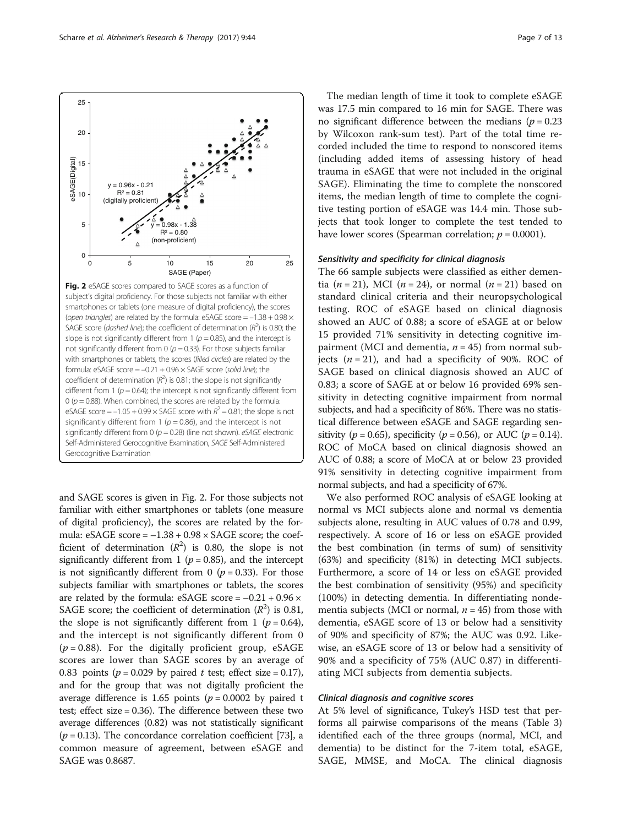slope is not significantly different from 1 ( $p = 0.85$ ), and the intercept is not significantly different from 0 ( $p = 0.33$ ). For those subjects familiar with smartphones or tablets, the scores (filled circles) are related by the formula: eSAGE score  $= -0.21 + 0.96 \times$  SAGE score (solid line); the coefficient of determination  $(R^2)$  is 0.81; the slope is not significantly different from 1 ( $p = 0.64$ ); the intercept is not significantly different from 0 ( $p = 0.88$ ). When combined, the scores are related by the formula: eSAGE score =  $-1.05 + 0.99 \times$  SAGE score with  $R^2 = 0.81$ ; the slope is not significantly different from 1 ( $p = 0.86$ ), and the intercept is not significantly different from 0 ( $p = 0.28$ ) (line not shown). eSAGE electronic Self-Administered Gerocognitive Examination, SAGE Self-Administered Gerocognitive Examination

and SAGE scores is given in Fig. 2. For those subjects not familiar with either smartphones or tablets (one measure of digital proficiency), the scores are related by the formula:  $eSAGE score = -1.38 + 0.98 \times SAGE score$ ; the coefficient of determination  $(R^2)$  is 0.80, the slope is not significantly different from 1 ( $p = 0.85$ ), and the intercept is not significantly different from 0 ( $p = 0.33$ ). For those subjects familiar with smartphones or tablets, the scores are related by the formula: eSAGE score =  $-0.21 + 0.96 \times$ SAGE score; the coefficient of determination  $(R^2)$  is 0.81, the slope is not significantly different from 1 ( $p = 0.64$ ), and the intercept is not significantly different from 0  $(p = 0.88)$ . For the digitally proficient group, eSAGE scores are lower than SAGE scores by an average of 0.83 points ( $p = 0.029$  by paired t test; effect size = 0.17), and for the group that was not digitally proficient the average difference is 1.65 points ( $p = 0.0002$  by paired t test; effect size = 0.36). The difference between these two average differences (0.82) was not statistically significant  $(p = 0.13)$ . The concordance correlation coefficient [\[73\]](#page-11-0), a common measure of agreement, between eSAGE and SAGE was 0.8687.

The median length of time it took to complete eSAGE was 17.5 min compared to 16 min for SAGE. There was no significant difference between the medians ( $p = 0.23$ ) by Wilcoxon rank-sum test). Part of the total time recorded included the time to respond to nonscored items (including added items of assessing history of head trauma in eSAGE that were not included in the original SAGE). Eliminating the time to complete the nonscored items, the median length of time to complete the cognitive testing portion of eSAGE was 14.4 min. Those subjects that took longer to complete the test tended to have lower scores (Spearman correlation;  $p = 0.0001$ ).

# Sensitivity and specificity for clinical diagnosis

The 66 sample subjects were classified as either dementia ( $n = 21$ ), MCI ( $n = 24$ ), or normal ( $n = 21$ ) based on standard clinical criteria and their neuropsychological testing. ROC of eSAGE based on clinical diagnosis showed an AUC of 0.88; a score of eSAGE at or below 15 provided 71% sensitivity in detecting cognitive impairment (MCI and dementia,  $n = 45$ ) from normal subjects  $(n = 21)$ , and had a specificity of 90%. ROC of SAGE based on clinical diagnosis showed an AUC of 0.83; a score of SAGE at or below 16 provided 69% sensitivity in detecting cognitive impairment from normal subjects, and had a specificity of 86%. There was no statistical difference between eSAGE and SAGE regarding sensitivity ( $p = 0.65$ ), specificity ( $p = 0.56$ ), or AUC ( $p = 0.14$ ). ROC of MoCA based on clinical diagnosis showed an AUC of 0.88; a score of MoCA at or below 23 provided 91% sensitivity in detecting cognitive impairment from normal subjects, and had a specificity of 67%.

We also performed ROC analysis of eSAGE looking at normal vs MCI subjects alone and normal vs dementia subjects alone, resulting in AUC values of 0.78 and 0.99, respectively. A score of 16 or less on eSAGE provided the best combination (in terms of sum) of sensitivity (63%) and specificity (81%) in detecting MCI subjects. Furthermore, a score of 14 or less on eSAGE provided the best combination of sensitivity (95%) and specificity (100%) in detecting dementia. In differentiating nondementia subjects (MCI or normal,  $n = 45$ ) from those with dementia, eSAGE score of 13 or below had a sensitivity of 90% and specificity of 87%; the AUC was 0.92. Likewise, an eSAGE score of 13 or below had a sensitivity of 90% and a specificity of 75% (AUC 0.87) in differentiating MCI subjects from dementia subjects.

# Clinical diagnosis and cognitive scores

At 5% level of significance, Tukey's HSD test that performs all pairwise comparisons of the means (Table [3](#page-7-0)) identified each of the three groups (normal, MCI, and dementia) to be distinct for the 7-item total, eSAGE, SAGE, MMSE, and MoCA. The clinical diagnosis



20

<span id="page-6-0"></span>25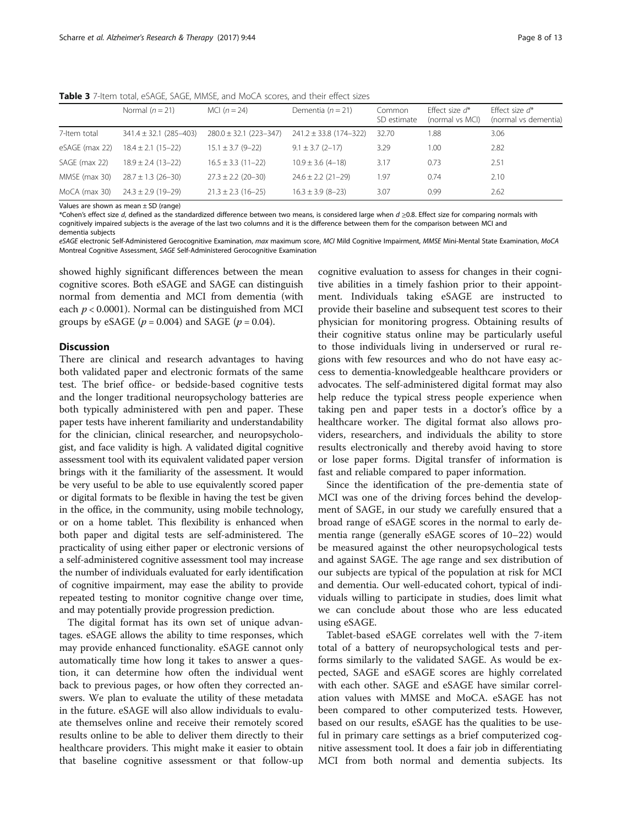|                | Normal $(n = 21)$          | MCI $(n = 24)$             | Dementia ( $n = 21$ )      | Common<br>SD estimate | Fffect size $d^*$<br>(normal vs MCI) | Fffect size $d^*$<br>(normal vs dementia) |
|----------------|----------------------------|----------------------------|----------------------------|-----------------------|--------------------------------------|-------------------------------------------|
| 7-Item total   | $341.4 \pm 32.1$ (285-403) | $280.0 \pm 32.1$ (223-347) | $241.2 \pm 33.8$ (174-322) | 32.70                 | 1.88                                 | 3.06                                      |
| eSAGE (max 22) | $18.4 \pm 2.1$ (15-22)     | $15.1 \pm 3.7$ (9-22)      | $9.1 \pm 3.7$ (2-17)       | 3.29                  | 1.00                                 | 2.82                                      |
| SAGE (max 22)  | $18.9 \pm 2.4$ (13-22)     | $16.5 \pm 3.3$ (11-22)     | $10.9 \pm 3.6$ (4-18)      | 3.17                  | 0.73                                 | 2.51                                      |
| MMSE (max 30)  | $28.7 \pm 1.3$ (26-30)     | $27.3 \pm 2.2$ (20-30)     | $24.6 \pm 2.2$ (21-29)     | 1.97                  | 0.74                                 | 2.10                                      |
| MoCA (max 30)  | $24.3 \pm 2.9$ (19-29)     | $21.3 \pm 2.3$ (16-25)     | $16.3 \pm 3.9$ (8-23)      | 3.07                  | 0.99                                 | 2.62                                      |

<span id="page-7-0"></span>Table 3 7-Item total, eSAGE, SAGE, MMSE, and MoCA scores, and their effect sizes

Values are shown as mean  $\pm$  SD (range)

\*Cohen's effect size d, defined as the standardized difference between two means, is considered large when d ≥0.8. Effect size for comparing normals with cognitively impaired subjects is the average of the last two columns and it is the difference between them for the comparison between MCI and

dementia subjects

eSAGE electronic Self-Administered Gerocognitive Examination, max maximum score, MCI Mild Cognitive Impairment, MMSE Mini-Mental State Examination, MoCA Montreal Cognitive Assessment, SAGE Self-Administered Gerocognitive Examination

showed highly significant differences between the mean cognitive scores. Both eSAGE and SAGE can distinguish normal from dementia and MCI from dementia (with each  $p < 0.0001$ ). Normal can be distinguished from MCI groups by eSAGE ( $p = 0.004$ ) and SAGE ( $p = 0.04$ ).

# **Discussion**

There are clinical and research advantages to having both validated paper and electronic formats of the same test. The brief office- or bedside-based cognitive tests and the longer traditional neuropsychology batteries are both typically administered with pen and paper. These paper tests have inherent familiarity and understandability for the clinician, clinical researcher, and neuropsychologist, and face validity is high. A validated digital cognitive assessment tool with its equivalent validated paper version brings with it the familiarity of the assessment. It would be very useful to be able to use equivalently scored paper or digital formats to be flexible in having the test be given in the office, in the community, using mobile technology, or on a home tablet. This flexibility is enhanced when both paper and digital tests are self-administered. The practicality of using either paper or electronic versions of a self-administered cognitive assessment tool may increase the number of individuals evaluated for early identification of cognitive impairment, may ease the ability to provide repeated testing to monitor cognitive change over time, and may potentially provide progression prediction.

The digital format has its own set of unique advantages. eSAGE allows the ability to time responses, which may provide enhanced functionality. eSAGE cannot only automatically time how long it takes to answer a question, it can determine how often the individual went back to previous pages, or how often they corrected answers. We plan to evaluate the utility of these metadata in the future. eSAGE will also allow individuals to evaluate themselves online and receive their remotely scored results online to be able to deliver them directly to their healthcare providers. This might make it easier to obtain that baseline cognitive assessment or that follow-up

cognitive evaluation to assess for changes in their cognitive abilities in a timely fashion prior to their appointment. Individuals taking eSAGE are instructed to provide their baseline and subsequent test scores to their physician for monitoring progress. Obtaining results of their cognitive status online may be particularly useful to those individuals living in underserved or rural regions with few resources and who do not have easy access to dementia-knowledgeable healthcare providers or advocates. The self-administered digital format may also help reduce the typical stress people experience when taking pen and paper tests in a doctor's office by a healthcare worker. The digital format also allows providers, researchers, and individuals the ability to store results electronically and thereby avoid having to store or lose paper forms. Digital transfer of information is fast and reliable compared to paper information.

Since the identification of the pre-dementia state of MCI was one of the driving forces behind the development of SAGE, in our study we carefully ensured that a broad range of eSAGE scores in the normal to early dementia range (generally eSAGE scores of 10–22) would be measured against the other neuropsychological tests and against SAGE. The age range and sex distribution of our subjects are typical of the population at risk for MCI and dementia. Our well-educated cohort, typical of individuals willing to participate in studies, does limit what we can conclude about those who are less educated using eSAGE.

Tablet-based eSAGE correlates well with the 7-item total of a battery of neuropsychological tests and performs similarly to the validated SAGE. As would be expected, SAGE and eSAGE scores are highly correlated with each other. SAGE and eSAGE have similar correlation values with MMSE and MoCA. eSAGE has not been compared to other computerized tests. However, based on our results, eSAGE has the qualities to be useful in primary care settings as a brief computerized cognitive assessment tool. It does a fair job in differentiating MCI from both normal and dementia subjects. Its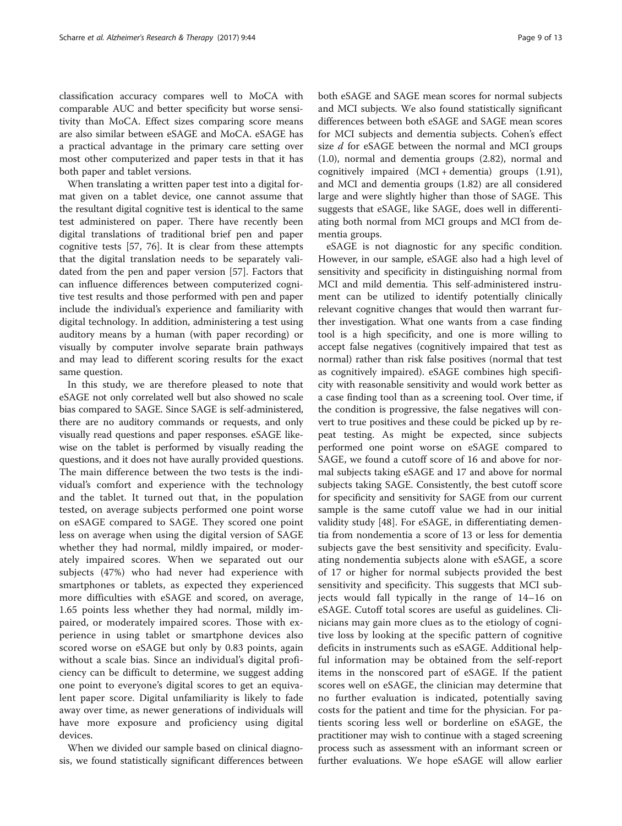classification accuracy compares well to MoCA with comparable AUC and better specificity but worse sensitivity than MoCA. Effect sizes comparing score means are also similar between eSAGE and MoCA. eSAGE has a practical advantage in the primary care setting over most other computerized and paper tests in that it has both paper and tablet versions.

When translating a written paper test into a digital format given on a tablet device, one cannot assume that the resultant digital cognitive test is identical to the same test administered on paper. There have recently been digital translations of traditional brief pen and paper cognitive tests [[57,](#page-11-0) [76](#page-12-0)]. It is clear from these attempts that the digital translation needs to be separately validated from the pen and paper version [[57\]](#page-11-0). Factors that can influence differences between computerized cognitive test results and those performed with pen and paper include the individual's experience and familiarity with digital technology. In addition, administering a test using auditory means by a human (with paper recording) or visually by computer involve separate brain pathways and may lead to different scoring results for the exact same question.

In this study, we are therefore pleased to note that eSAGE not only correlated well but also showed no scale bias compared to SAGE. Since SAGE is self-administered, there are no auditory commands or requests, and only visually read questions and paper responses. eSAGE likewise on the tablet is performed by visually reading the questions, and it does not have aurally provided questions. The main difference between the two tests is the individual's comfort and experience with the technology and the tablet. It turned out that, in the population tested, on average subjects performed one point worse on eSAGE compared to SAGE. They scored one point less on average when using the digital version of SAGE whether they had normal, mildly impaired, or moderately impaired scores. When we separated out our subjects (47%) who had never had experience with smartphones or tablets, as expected they experienced more difficulties with eSAGE and scored, on average, 1.65 points less whether they had normal, mildly impaired, or moderately impaired scores. Those with experience in using tablet or smartphone devices also scored worse on eSAGE but only by 0.83 points, again without a scale bias. Since an individual's digital proficiency can be difficult to determine, we suggest adding one point to everyone's digital scores to get an equivalent paper score. Digital unfamiliarity is likely to fade away over time, as newer generations of individuals will have more exposure and proficiency using digital devices.

When we divided our sample based on clinical diagnosis, we found statistically significant differences between both eSAGE and SAGE mean scores for normal subjects and MCI subjects. We also found statistically significant differences between both eSAGE and SAGE mean scores for MCI subjects and dementia subjects. Cohen's effect size *d* for eSAGE between the normal and MCI groups (1.0), normal and dementia groups (2.82), normal and cognitively impaired (MCI + dementia) groups (1.91), and MCI and dementia groups (1.82) are all considered large and were slightly higher than those of SAGE. This suggests that eSAGE, like SAGE, does well in differentiating both normal from MCI groups and MCI from dementia groups.

eSAGE is not diagnostic for any specific condition. However, in our sample, eSAGE also had a high level of sensitivity and specificity in distinguishing normal from MCI and mild dementia. This self-administered instrument can be utilized to identify potentially clinically relevant cognitive changes that would then warrant further investigation. What one wants from a case finding tool is a high specificity, and one is more willing to accept false negatives (cognitively impaired that test as normal) rather than risk false positives (normal that test as cognitively impaired). eSAGE combines high specificity with reasonable sensitivity and would work better as a case finding tool than as a screening tool. Over time, if the condition is progressive, the false negatives will convert to true positives and these could be picked up by repeat testing. As might be expected, since subjects performed one point worse on eSAGE compared to SAGE, we found a cutoff score of 16 and above for normal subjects taking eSAGE and 17 and above for normal subjects taking SAGE. Consistently, the best cutoff score for specificity and sensitivity for SAGE from our current sample is the same cutoff value we had in our initial validity study [\[48](#page-11-0)]. For eSAGE, in differentiating dementia from nondementia a score of 13 or less for dementia subjects gave the best sensitivity and specificity. Evaluating nondementia subjects alone with eSAGE, a score of 17 or higher for normal subjects provided the best sensitivity and specificity. This suggests that MCI subjects would fall typically in the range of 14–16 on eSAGE. Cutoff total scores are useful as guidelines. Clinicians may gain more clues as to the etiology of cognitive loss by looking at the specific pattern of cognitive deficits in instruments such as eSAGE. Additional helpful information may be obtained from the self-report items in the nonscored part of eSAGE. If the patient scores well on eSAGE, the clinician may determine that no further evaluation is indicated, potentially saving costs for the patient and time for the physician. For patients scoring less well or borderline on eSAGE, the practitioner may wish to continue with a staged screening process such as assessment with an informant screen or further evaluations. We hope eSAGE will allow earlier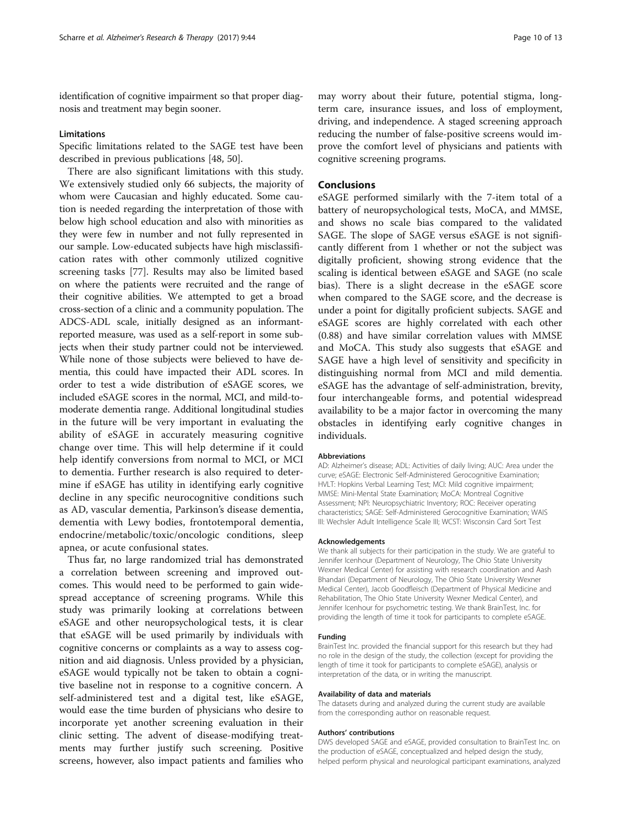identification of cognitive impairment so that proper diagnosis and treatment may begin sooner.

# **Limitations**

Specific limitations related to the SAGE test have been described in previous publications [[48](#page-11-0), [50](#page-11-0)].

There are also significant limitations with this study. We extensively studied only 66 subjects, the majority of whom were Caucasian and highly educated. Some caution is needed regarding the interpretation of those with below high school education and also with minorities as they were few in number and not fully represented in our sample. Low-educated subjects have high misclassification rates with other commonly utilized cognitive screening tasks [\[77](#page-12-0)]. Results may also be limited based on where the patients were recruited and the range of their cognitive abilities. We attempted to get a broad cross-section of a clinic and a community population. The ADCS-ADL scale, initially designed as an informantreported measure, was used as a self-report in some subjects when their study partner could not be interviewed. While none of those subjects were believed to have dementia, this could have impacted their ADL scores. In order to test a wide distribution of eSAGE scores, we included eSAGE scores in the normal, MCI, and mild-tomoderate dementia range. Additional longitudinal studies in the future will be very important in evaluating the ability of eSAGE in accurately measuring cognitive change over time. This will help determine if it could help identify conversions from normal to MCI, or MCI to dementia. Further research is also required to determine if eSAGE has utility in identifying early cognitive decline in any specific neurocognitive conditions such as AD, vascular dementia, Parkinson's disease dementia, dementia with Lewy bodies, frontotemporal dementia, endocrine/metabolic/toxic/oncologic conditions, sleep apnea, or acute confusional states.

Thus far, no large randomized trial has demonstrated a correlation between screening and improved outcomes. This would need to be performed to gain widespread acceptance of screening programs. While this study was primarily looking at correlations between eSAGE and other neuropsychological tests, it is clear that eSAGE will be used primarily by individuals with cognitive concerns or complaints as a way to assess cognition and aid diagnosis. Unless provided by a physician, eSAGE would typically not be taken to obtain a cognitive baseline not in response to a cognitive concern. A self-administered test and a digital test, like eSAGE, would ease the time burden of physicians who desire to incorporate yet another screening evaluation in their clinic setting. The advent of disease-modifying treatments may further justify such screening. Positive screens, however, also impact patients and families who

may worry about their future, potential stigma, longterm care, insurance issues, and loss of employment, driving, and independence. A staged screening approach reducing the number of false-positive screens would improve the comfort level of physicians and patients with cognitive screening programs.

# Conclusions

eSAGE performed similarly with the 7-item total of a battery of neuropsychological tests, MoCA, and MMSE, and shows no scale bias compared to the validated SAGE. The slope of SAGE versus eSAGE is not significantly different from 1 whether or not the subject was digitally proficient, showing strong evidence that the scaling is identical between eSAGE and SAGE (no scale bias). There is a slight decrease in the eSAGE score when compared to the SAGE score, and the decrease is under a point for digitally proficient subjects. SAGE and eSAGE scores are highly correlated with each other (0.88) and have similar correlation values with MMSE and MoCA. This study also suggests that eSAGE and SAGE have a high level of sensitivity and specificity in distinguishing normal from MCI and mild dementia. eSAGE has the advantage of self-administration, brevity, four interchangeable forms, and potential widespread availability to be a major factor in overcoming the many obstacles in identifying early cognitive changes in individuals.

# Abbreviations

AD: Alzheimer's disease; ADL: Activities of daily living; AUC: Area under the curve; eSAGE: Electronic Self-Administered Gerocognitive Examination; HVLT: Hopkins Verbal Learning Test; MCI: Mild cognitive impairment; MMSE: Mini-Mental State Examination; MoCA: Montreal Cognitive Assessment; NPI: Neuropsychiatric Inventory; ROC: Receiver operating characteristics; SAGE: Self-Administered Gerocognitive Examination; WAIS III: Wechsler Adult Intelligence Scale III; WCST: Wisconsin Card Sort Test

#### Acknowledgements

We thank all subjects for their participation in the study. We are grateful to Jennifer Icenhour (Department of Neurology, The Ohio State University Wexner Medical Center) for assisting with research coordination and Aash Bhandari (Department of Neurology, The Ohio State University Wexner Medical Center), Jacob Goodfleisch (Department of Physical Medicine and Rehabilitation, The Ohio State University Wexner Medical Center), and Jennifer Icenhour for psychometric testing. We thank BrainTest, Inc. for providing the length of time it took for participants to complete eSAGE.

#### Funding

BrainTest Inc. provided the financial support for this research but they had no role in the design of the study, the collection (except for providing the length of time it took for participants to complete eSAGE), analysis or interpretation of the data, or in writing the manuscript.

# Availability of data and materials

The datasets during and analyzed during the current study are available from the corresponding author on reasonable request.

### Authors' contributions

DWS developed SAGE and eSAGE, provided consultation to BrainTest Inc. on the production of eSAGE, conceptualized and helped design the study, helped perform physical and neurological participant examinations, analyzed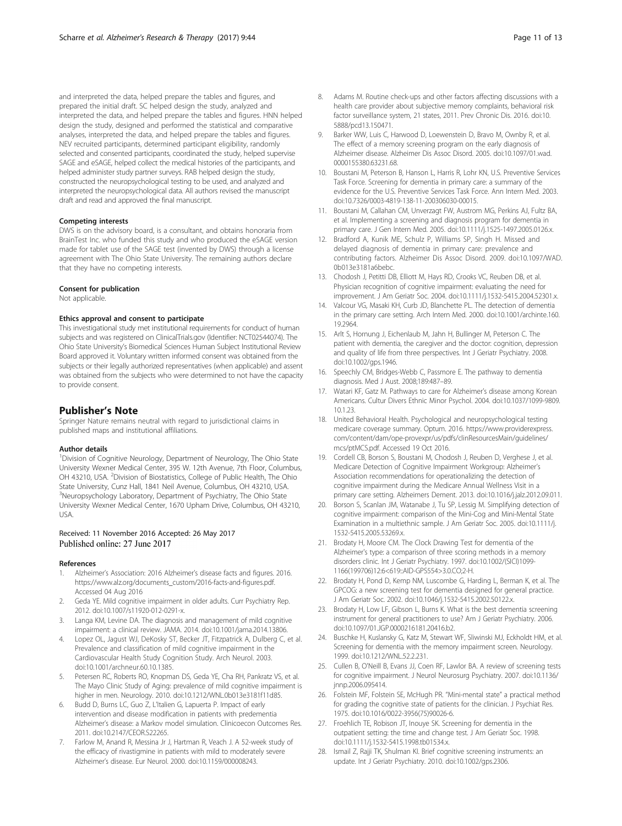<span id="page-10-0"></span>and interpreted the data, helped prepare the tables and figures, and prepared the initial draft. SC helped design the study, analyzed and interpreted the data, and helped prepare the tables and figures. HNN helped design the study, designed and performed the statistical and comparative analyses, interpreted the data, and helped prepare the tables and figures. NEV recruited participants, determined participant eligibility, randomly selected and consented participants, coordinated the study, helped supervise SAGE and eSAGE, helped collect the medical histories of the participants, and helped administer study partner surveys. RAB helped design the study, constructed the neuropsychological testing to be used, and analyzed and interpreted the neuropsychological data. All authors revised the manuscript draft and read and approved the final manuscript.

## Competing interests

DWS is on the advisory board, is a consultant, and obtains honoraria from BrainTest Inc. who funded this study and who produced the eSAGE version made for tablet use of the SAGE test (invented by DWS) through a license agreement with The Ohio State University. The remaining authors declare that they have no competing interests.

# Consent for publication

Not applicable.

# Ethics approval and consent to participate

This investigational study met institutional requirements for conduct of human subjects and was registered on ClinicalTrials.gov (Identifier: NCT02544074). The Ohio State University's Biomedical Sciences Human Subject Institutional Review Board approved it. Voluntary written informed consent was obtained from the subjects or their legally authorized representatives (when applicable) and assent was obtained from the subjects who were determined to not have the capacity to provide consent.

# Publisher's Note

Springer Nature remains neutral with regard to jurisdictional claims in published maps and institutional affiliations.

# Author details

<sup>1</sup> Division of Cognitive Neurology, Department of Neurology, The Ohio State University Wexner Medical Center, 395 W. 12th Avenue, 7th Floor, Columbus, OH 43210, USA. <sup>2</sup> Division of Biostatistics, College of Public Health, The Ohio State University, Cunz Hall, 1841 Neil Avenue, Columbus, OH 43210, USA. <sup>3</sup>Neuropsychology Laboratory, Department of Psychiatry, The Ohio State University Wexner Medical Center, 1670 Upham Drive, Columbus, OH 43210, USA.

# Received: 11 November 2016 Accepted: 26 May 2017

## References

- 1. Alzheimer's Association: 2016 Alzheimer's disease facts and figures. 2016. [https://www.alz.org/documents\\_custom/2016-facts-and-figures.pdf](https://www.alz.org/documents_custom/2016-facts-and-figures.pdf). Accessed 04 Aug 2016
- 2. Geda YE. Mild cognitive impairment in older adults. Curr Psychiatry Rep. 2012. doi:[10.1007/s11920-012-0291-x.](http://dx.doi.org/10.1007/s11920-012-0291-x)
- Langa KM, Levine DA. The diagnosis and management of mild cognitive impairment: a clinical review. JAMA. 2014. doi:[10.1001/jama.2014.13806](http://dx.doi.org/10.1001/jama.2014.13806).
- 4. Lopez OL, Jagust WJ, DeKosky ST, Becker JT, Fitzpatrick A, Dulberg C, et al. Prevalence and classification of mild cognitive impairment in the Cardiovascular Health Study Cognition Study. Arch Neurol. 2003. doi[:10.1001/archneur.60.10.1385.](http://dx.doi.org/10.1001/archneur.60.10.1385)
- Petersen RC, Roberts RO, Knopman DS, Geda YE, Cha RH, Pankratz VS, et al. The Mayo Clinic Study of Aging: prevalence of mild cognitive impairment is higher in men. Neurology. 2010. doi[:10.1212/WNL.0b013e3181f11d85](http://dx.doi.org/10.1212/WNL.0b013e3181f11d85).
- 6. Budd D, Burns LC, Guo Z, L'Italien G, Lapuerta P. Impact of early intervention and disease modification in patients with predementia Alzheimer's disease: a Markov model simulation. Clinicoecon Outcomes Res. 2011. doi:[10.2147/CEOR.S22265](http://dx.doi.org/10.2147/CEOR.S22265).
- 7. Farlow M, Anand R, Messina Jr J, Hartman R, Veach J. A 52-week study of the efficacy of rivastigmine in patients with mild to moderately severe Alzheimer's disease. Eur Neurol. 2000. doi:[10.1159/000008243.](http://dx.doi.org/10.1159/000008243)
- Adams M. Routine check-ups and other factors affecting discussions with a health care provider about subjective memory complaints, behavioral risk factor surveillance system, 21 states, 2011. Prev Chronic Dis. 2016. doi[:10.](http://dx.doi.org/10.5888/pcd13.150471) [5888/pcd13.150471](http://dx.doi.org/10.5888/pcd13.150471).
- 9. Barker WW, Luis C, Harwood D, Loewenstein D, Bravo M, Ownby R, et al. The effect of a memory screening program on the early diagnosis of Alzheimer disease. Alzheimer Dis Assoc Disord. 2005. doi:[10.1097/01.wad.](http://dx.doi.org/10.1097/01.wad.0000155380.63231.68) [0000155380.63231.68](http://dx.doi.org/10.1097/01.wad.0000155380.63231.68).
- 10. Boustani M, Peterson B, Hanson L, Harris R, Lohr KN, U.S. Preventive Services Task Force. Screening for dementia in primary care: a summary of the evidence for the U.S. Preventive Services Task Force. Ann Intern Med. 2003. doi[:10.7326/0003-4819-138-11-200306030-00015.](http://dx.doi.org/10.7326/0003-4819-138-11-200306030-00015)
- 11. Boustani M, Callahan CM, Unverzagt FW, Austrom MG, Perkins AJ, Fultz BA, et al. Implementing a screening and diagnosis program for dementia in primary care. J Gen Intern Med. 2005. doi[:10.1111/j.1525-1497.2005.0126.x](http://dx.doi.org/10.1111/j.1525-1497.2005.0126.x).
- 12. Bradford A, Kunik ME, Schulz P, Williams SP, Singh H. Missed and delayed diagnosis of dementia in primary care: prevalence and contributing factors. Alzheimer Dis Assoc Disord. 2009. doi:[10.1097/WAD.](http://dx.doi.org/10.1097/WAD.0b013e3181a6bebc) [0b013e3181a6bebc.](http://dx.doi.org/10.1097/WAD.0b013e3181a6bebc)
- 13. Chodosh J, Petitti DB, Elliott M, Hays RD, Crooks VC, Reuben DB, et al. Physician recognition of cognitive impairment: evaluating the need for improvement. J Am Geriatr Soc. 2004. doi[:10.1111/j.1532-5415.2004.52301.x.](http://dx.doi.org/10.1111/j.1532-5415.2004.52301.x)
- 14. Valcour VG, Masaki KH, Curb JD, Blanchette PL. The detection of dementia in the primary care setting. Arch Intern Med. 2000. doi:[10.1001/archinte.160.](http://dx.doi.org/10.1001/archinte.160.19.2964) [19.2964](http://dx.doi.org/10.1001/archinte.160.19.2964).
- 15. Arlt S, Hornung J, Eichenlaub M, Jahn H, Bullinger M, Peterson C. The patient with dementia, the caregiver and the doctor: cognition, depression and quality of life from three perspectives. Int J Geriatr Psychiatry. 2008. doi[:10.1002/gps.1946](http://dx.doi.org/10.1002/gps.1946).
- 16. Speechly CM, Bridges-Webb C, Passmore E. The pathway to dementia diagnosis. Med J Aust. 2008;189:487–89.
- 17. Watari KF, Gatz M. Pathways to care for Alzheimer's disease among Korean Americans. Cultur Divers Ethnic Minor Psychol. 2004. doi:[10.1037/1099-9809.](http://dx.doi.org/10.1037/1099-9809.10.1.23) [10.1.23](http://dx.doi.org/10.1037/1099-9809.10.1.23).
- 18. United Behavioral Health. Psychological and neuropsychological testing medicare coverage summary. Optum. 2016. [https://www.providerexpress.](https://www.providerexpress.com/content/dam/ope-provexpr/us/pdfs/clinResourcesMain/guidelines/mcs/ptMCS.pdf) [com/content/dam/ope-provexpr/us/pdfs/clinResourcesMain/guidelines/](https://www.providerexpress.com/content/dam/ope-provexpr/us/pdfs/clinResourcesMain/guidelines/mcs/ptMCS.pdf) [mcs/ptMCS.pdf](https://www.providerexpress.com/content/dam/ope-provexpr/us/pdfs/clinResourcesMain/guidelines/mcs/ptMCS.pdf). Accessed 19 Oct 2016.
- 19. Cordell CB, Borson S, Boustani M, Chodosh J, Reuben D, Verghese J, et al. Medicare Detection of Cognitive Impairment Workgroup: Alzheimer's Association recommendations for operationalizing the detection of cognitive impairment during the Medicare Annual Wellness Visit in a primary care setting. Alzheimers Dement. 2013. doi[:10.1016/j.jalz.2012.09.011](http://dx.doi.org/10.1016/j.jalz.2012.09.011).
- 20. Borson S, Scanlan JM, Watanabe J, Tu SP, Lessig M. Simplifying detection of cognitive impairment: comparison of the Mini-Cog and Mini-Mental State Examination in a multiethnic sample. J Am Geriatr Soc. 2005. doi[:10.1111/j.](http://dx.doi.org/10.1111/j.1532-5415.2005.53269.x) [1532-5415.2005.53269.x](http://dx.doi.org/10.1111/j.1532-5415.2005.53269.x).
- 21. Brodaty H, Moore CM. The Clock Drawing Test for dementia of the Alzheimer's type: a comparison of three scoring methods in a memory disorders clinic. Int J Geriatr Psychiatry. 1997. doi[:10.1002/\(SICI\)1099-](http://dx.doi.org/10.1002/(SICI)1099-1166(199706)12:6%3C619::AID-GPS554%3E3.0.CO;2-H) [1166\(199706\)12:6<619::AID-GPS554>3.0.CO;2-H.](http://dx.doi.org/10.1002/(SICI)1099-1166(199706)12:6%3C619::AID-GPS554%3E3.0.CO;2-H)
- 22. Brodaty H, Pond D, Kemp NM, Luscombe G, Harding L, Berman K, et al. The GPCOG: a new screening test for dementia designed for general practice. J Am Geriatr Soc. 2002. doi[:10.1046/j.1532-5415.2002.50122.x.](http://dx.doi.org/10.1046/j.1532-5415.2002.50122.x)
- 23. Brodaty H, Low LF, Gibson L, Burns K. What is the best dementia screening instrument for general practitioners to use? Am J Geriatr Psychiatry. 2006. doi[:10.1097/01.JGP.0000216181.20416.b2.](http://dx.doi.org/10.1097/01.JGP.0000216181.20416.b2)
- 24. Buschke H, Kuslansky G, Katz M, Stewart WF, Sliwinski MJ, Eckholdt HM, et al. Screening for dementia with the memory impairment screen. Neurology. 1999. doi[:10.1212/WNL.52.2.231.](http://dx.doi.org/10.1212/WNL.52.2.231)
- 25. Cullen B, O'Neill B, Evans JJ, Coen RF, Lawlor BA. A review of screening tests for cognitive impairment. J Neurol Neurosurg Psychiatry. 2007. doi:[10.1136/](http://dx.doi.org/10.1136/jnnp.2006.095414) [jnnp.2006.095414](http://dx.doi.org/10.1136/jnnp.2006.095414).
- 26. Folstein MF, Folstein SE, McHugh PR. "Mini-mental state" a practical method for grading the cognitive state of patients for the clinician. J Psychiat Res. 1975. doi[:10.1016/0022-3956\(75\)90026-6.](http://dx.doi.org/10.1016/0022-3956(75)90026-6)
- 27. Froehlich TE, Robison JT, Inouye SK. Screening for dementia in the outpatient setting: the time and change test. J Am Geriatr Soc. 1998. doi[:10.1111/j.1532-5415.1998.tb01534.x.](http://dx.doi.org/10.1111/j.1532-5415.1998.tb01534.x)
- 28. Ismail Z, Rajji TK, Shulman KI. Brief cognitive screening instruments: an update. Int J Geriatr Psychiatry. 2010. doi[:10.1002/gps.2306](http://dx.doi.org/10.1002/gps.2306).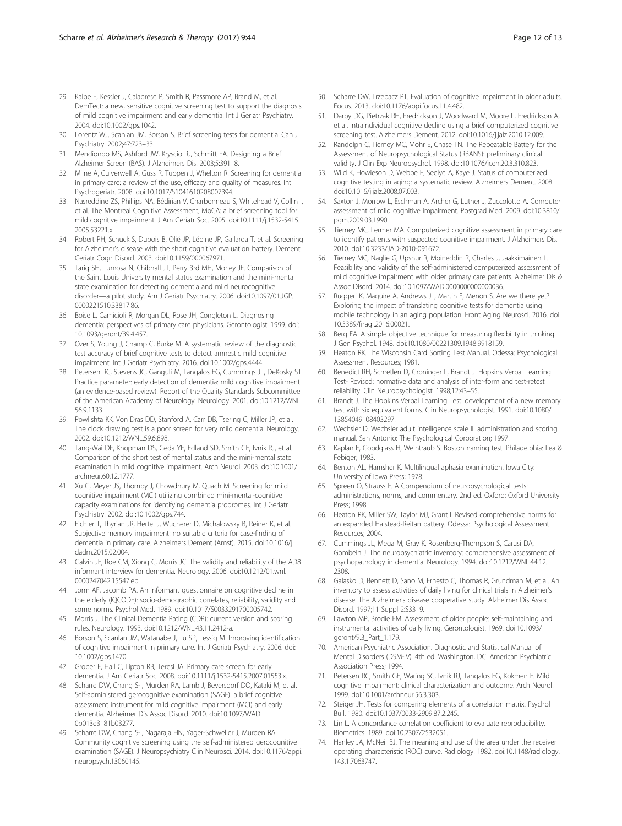- <span id="page-11-0"></span>29. Kalbe E, Kessler J, Calabrese P, Smith R, Passmore AP, Brand M, et al. DemTect: a new, sensitive cognitive screening test to support the diagnosis of mild cognitive impairment and early dementia. Int J Geriatr Psychiatry. 2004. doi:[10.1002/gps.1042](http://dx.doi.org/10.1002/gps.1042).
- 30. Lorentz WJ, Scanlan JM, Borson S. Brief screening tests for dementia. Can J Psychiatry. 2002;47:723–33.
- 31. Mendiondo MS, Ashford JW, Kryscio RJ, Schmitt FA. Designing a Brief Alzheimer Screen (BAS). J Alzheimers Dis. 2003;5:391–8.
- 32. Milne A, Culverwell A, Guss R, Tuppen J, Whelton R. Screening for dementia in primary care: a review of the use, efficacy and quality of measures. Int Psychogeriatr. 2008. doi[:10.1017/S1041610208007394](http://dx.doi.org/10.1017/S1041610208007394).
- 33. Nasreddine ZS, Phillips NA, Bédirian V, Charbonneau S, Whitehead V, Collin I, et al. The Montreal Cognitive Assessment, MoCA: a brief screening tool for mild cognitive impairment. J Am Geriatr Soc. 2005. doi:[10.1111/j.1532-5415.](http://dx.doi.org/10.1111/j.1532-5415.2005.53221.x) [2005.53221.x.](http://dx.doi.org/10.1111/j.1532-5415.2005.53221.x)
- 34. Robert PH, Schuck S, Dubois B, Olié JP, Lépine JP, Gallarda T, et al. Screening for Alzheimer's disease with the short cognitive evaluation battery. Dement Geriatr Cogn Disord. 2003. doi[:10.1159/000067971.](http://dx.doi.org/10.1159/000067971)
- 35. Tariq SH, Tumosa N, Chibnall JT, Perry 3rd MH, Morley JE. Comparison of the Saint Louis University mental status examination and the mini-mental state examination for detecting dementia and mild neurocognitive disorder—a pilot study. Am J Geriatr Psychiatry. 2006. doi[:10.1097/01.JGP.](http://dx.doi.org/10.1097/01.JGP.0000221510.33817.86) [0000221510.33817.86](http://dx.doi.org/10.1097/01.JGP.0000221510.33817.86).
- 36. Boise L, Camicioli R, Morgan DL, Rose JH, Congleton L. Diagnosing dementia: perspectives of primary care physicians. Gerontologist. 1999. doi: [10.1093/geront/39.4.457](http://dx.doi.org/10.1093/geront/39.4.457).
- 37. Ozer S, Young J, Champ C, Burke M. A systematic review of the diagnostic test accuracy of brief cognitive tests to detect amnestic mild cognitive impairment. Int J Geriatr Psychiatry. 2016. doi:[10.1002/gps.4444](http://dx.doi.org/10.1002/gps.4444).
- 38. Petersen RC, Stevens JC, Ganguli M, Tangalos EG, Cummings JL, DeKosky ST. Practice parameter: early detection of dementia: mild cognitive impairment (an evidence-based review). Report of the Quality Standards Subcommittee of the American Academy of Neurology. Neurology. 2001. doi[:10.1212/WNL.](http://dx.doi.org/10.1212/WNL.56.9.1133) [56.9.1133](http://dx.doi.org/10.1212/WNL.56.9.1133)
- 39. Powlishta KK, Von Dras DD, Stanford A, Carr DB, Tsering C, Miller JP, et al. The clock drawing test is a poor screen for very mild dementia. Neurology. 2002. doi:[10.1212/WNL.59.6.898.](http://dx.doi.org/10.1212/WNL.59.6.898)
- 40. Tang-Wai DF, Knopman DS, Geda YE, Edland SD, Smith GE, Ivnik RJ, et al. Comparison of the short test of mental status and the mini-mental state examination in mild cognitive impairment. Arch Neurol. 2003. doi:[10.1001/](http://dx.doi.org/10.1001/archneur.60.12.1777) [archneur.60.12.1777.](http://dx.doi.org/10.1001/archneur.60.12.1777)
- 41. Xu G, Meyer JS, Thornby J, Chowdhury M, Quach M. Screening for mild cognitive impairment (MCI) utilizing combined mini-mental-cognitive capacity examinations for identifying dementia prodromes. Int J Geriatr Psychiatry. 2002. doi:[10.1002/gps.744](http://dx.doi.org/10.1002/gps.744).
- 42. Eichler T, Thyrian JR, Hertel J, Wucherer D, Michalowsky B, Reiner K, et al. Subjective memory impairment: no suitable criteria for case-finding of dementia in primary care. Alzheimers Dement (Amst). 2015. doi:[10.1016/j.](http://dx.doi.org/10.1016/j.dadm.2015.02.004) [dadm.2015.02.004.](http://dx.doi.org/10.1016/j.dadm.2015.02.004)
- 43. Galvin JE, Roe CM, Xiong C, Morris JC. The validity and reliability of the AD8 informant interview for dementia. Neurology. 2006. doi:[10.1212/01.wnl.](http://dx.doi.org/10.1212/01.wnl.0000247042.15547.eb) [0000247042.15547.eb.](http://dx.doi.org/10.1212/01.wnl.0000247042.15547.eb)
- 44. Jorm AF, Jacomb PA. An informant questionnaire on cognitive decline in the elderly (IQCODE): socio-demographic correlates, reliability, validity and some norms. Psychol Med. 1989. doi:[10.1017/S0033291700005742.](http://dx.doi.org/10.1017/S0033291700005742)
- 45. Morris J. The Clinical Dementia Rating (CDR): current version and scoring rules. Neurology. 1993. doi:[10.1212/WNL.43.11.2412-a](http://dx.doi.org/10.1212/WNL.43.11.2412-a).
- 46. Borson S, Scanlan JM, Watanabe J, Tu SP, Lessig M. Improving identification of cognitive impairment in primary care. Int J Geriatr Psychiatry. 2006. doi: [10.1002/gps.1470.](http://dx.doi.org/10.1002/gps.1470)
- 47. Grober E, Hall C, Lipton RB, Teresi JA. Primary care screen for early dementia. J Am Geriatr Soc. 2008. doi[:10.1111/j.1532-5415.2007.01553.x.](http://dx.doi.org/10.1111/j.1532-5415.2007.01553.x)
- 48. Scharre DW, Chang S-I, Murden RA, Lamb J, Beversdorf DQ, Kataki M, et al. Self-administered gerocognitive examination (SAGE): a brief cognitive assessment instrument for mild cognitive impairment (MCI) and early dementia. Alzheimer Dis Assoc Disord. 2010. doi:[10.1097/WAD.](http://dx.doi.org/10.1097/WAD.0b013e3181b03277) [0b013e3181b03277](http://dx.doi.org/10.1097/WAD.0b013e3181b03277).
- 49. Scharre DW, Chang S-I, Nagaraja HN, Yager-Schweller J, Murden RA. Community cognitive screening using the self-administered gerocognitive examination (SAGE). J Neuropsychiatry Clin Neurosci. 2014. doi:[10.1176/appi.](http://dx.doi.org/10.1176/appi.neuropsych.13060145) [neuropsych.13060145](http://dx.doi.org/10.1176/appi.neuropsych.13060145).
- 50. Scharre DW, Trzepacz PT. Evaluation of cognitive impairment in older adults. Focus. 2013. doi:[10.1176/appi.focus.11.4.482.](http://dx.doi.org/10.1176/appi.focus.11.4.482)
- 51. Darby DG, Pietrzak RH, Fredrickson J, Woodward M, Moore L, Fredrickson A, et al. Intraindividual cognitive decline using a brief computerized cognitive screening test. Alzheimers Dement. 2012. doi:[10.1016/j.jalz.2010.12.009.](http://dx.doi.org/10.1016/j.jalz.2010.12.009)
- 52. Randolph C, Tierney MC, Mohr E, Chase TN. The Repeatable Battery for the Assessment of Neuropsychological Status (RBANS): preliminary clinical validity. J Clin Exp Neuropsychol. 1998. doi:[10.1076/jcen.20.3.310.823.](http://dx.doi.org/10.1076/jcen.20.3.310.823)
- 53. Wild K, Howieson D, Webbe F, Seelye A, Kaye J. Status of computerized cognitive testing in aging: a systematic review. Alzheimers Dement. 2008. doi[:10.1016/j.jalz.2008.07.003](http://dx.doi.org/10.1016/j.jalz.2008.07.003).
- 54. Saxton J, Morrow L, Eschman A, Archer G, Luther J, Zuccolotto A. Computer assessment of mild cognitive impairment. Postgrad Med. 2009. doi:[10.3810/](http://dx.doi.org/10.3810/pgm.2009.03.1990) [pgm.2009.03.1990.](http://dx.doi.org/10.3810/pgm.2009.03.1990)
- 55. Tierney MC, Lermer MA. Computerized cognitive assessment in primary care to identify patients with suspected cognitive impairment. J Alzheimers Dis. 2010. doi[:10.3233/JAD-2010-091672.](http://dx.doi.org/10.3233/JAD-2010-091672)
- 56. Tierney MC, Naglie G, Upshur R, Moineddin R, Charles J, Jaakkimainen L. Feasibility and validity of the self-administered computerized assessment of mild cognitive impairment with older primary care patients. Alzheimer Dis & Assoc Disord. 2014. doi[:10.1097/WAD.0000000000000036.](http://dx.doi.org/10.1097/WAD.0000000000000036)
- 57. Ruggeri K, Maguire A, Andrews JL, Martin E, Menon S. Are we there yet? Exploring the impact of translating cognitive tests for dementia using mobile technology in an aging population. Front Aging Neurosci. 2016. doi: [10.3389/fnagi.2016.00021](http://dx.doi.org/10.3389/fnagi.2016.00021).
- 58. Berg EA. A simple objective technique for measuring flexibility in thinking. J Gen Psychol. 1948. doi[:10.1080/00221309.1948.9918159](http://dx.doi.org/10.1080/00221309.1948.9918159).
- 59. Heaton RK. The Wisconsin Card Sorting Test Manual. Odessa: Psychological Assessment Resources; 1981.
- 60. Benedict RH, Schretlen D, Groninger L, Brandt J. Hopkins Verbal Learning Test- Revised; normative data and analysis of inter-form and test-retest reliability. Clin Neuropsychologist. 1998;12:43–55.
- 61. Brandt J. The Hopkins Verbal Learning Test: development of a new memory test with six equivalent forms. Clin Neuropsychologist. 1991. doi:[10.1080/](http://dx.doi.org/10.1080/13854049108403297) [13854049108403297.](http://dx.doi.org/10.1080/13854049108403297)
- 62. Wechsler D. Wechsler adult intelligence scale III administration and scoring manual. San Antonio: The Psychological Corporation; 1997.
- 63. Kaplan E, Goodglass H, Weintraub S. Boston naming test. Philadelphia: Lea & Febiger; 1983.
- Benton AL, Hamsher K. Multilingual aphasia examination. Iowa City: University of Iowa Press; 1978.
- 65. Spreen O, Strauss E. A Compendium of neuropsychological tests: administrations, norms, and commentary. 2nd ed. Oxford: Oxford University Press; 1998.
- 66. Heaton RK, Miller SW, Taylor MJ, Grant I. Revised comprehensive norms for an expanded Halstead-Reitan battery. Odessa: Psychological Assessment Resources: 2004
- 67. Cummings JL, Mega M, Gray K, Rosenberg-Thompson S, Carusi DA, Gombein J. The neuropsychiatric inventory: comprehensive assessment of psychopathology in dementia. Neurology. 1994. doi[:10.1212/WNL.44.12.](http://dx.doi.org/10.1212/WNL.44.12.2308) [2308](http://dx.doi.org/10.1212/WNL.44.12.2308).
- 68. Galasko D, Bennett D, Sano M, Ernesto C, Thomas R, Grundman M, et al. An inventory to assess activities of daily living for clinical trials in Alzheimer's disease. The Alzheimer's disease cooperative study. Alzheimer Dis Assoc Disord. 1997;11 Suppl 2:S33–9.
- 69. Lawton MP, Brodie EM. Assessment of older people: self-maintaining and instrumental activities of daily living. Gerontologist. 1969. doi:[10.1093/](http://dx.doi.org/10.1093/geront/9.3_Part_1.179) [geront/9.3\\_Part\\_1.179](http://dx.doi.org/10.1093/geront/9.3_Part_1.179).
- 70. American Psychiatric Association. Diagnostic and Statistical Manual of Mental Disorders (DSM-IV). 4th ed. Washington, DC: American Psychiatric Association Press; 1994.
- 71. Petersen RC, Smith GE, Waring SC, Ivnik RJ, Tangalos EG, Kokmen E. Mild cognitive impairment: clinical characterization and outcome. Arch Neurol. 1999. doi[:10.1001/archneur.56.3.303](http://dx.doi.org/10.1001/archneur.56.3.303).
- 72. Steiger JH. Tests for comparing elements of a correlation matrix. Psychol Bull. 1980. doi:[10.1037/0033-2909.87.2.245](http://dx.doi.org/10.1037/0033-2909.87.2.245).
- 73. Lin L. A concordance correlation coefficient to evaluate reproducibility. Biometrics. 1989. doi:[10.2307/2532051.](http://dx.doi.org/10.2307/2532051)
- 74. Hanley JA, McNeil BJ. The meaning and use of the area under the receiver operating characteristic (ROC) curve. Radiology. 1982. doi[:10.1148/radiology.](http://dx.doi.org/10.1148/radiology.143.1.7063747) [143.1.7063747.](http://dx.doi.org/10.1148/radiology.143.1.7063747)